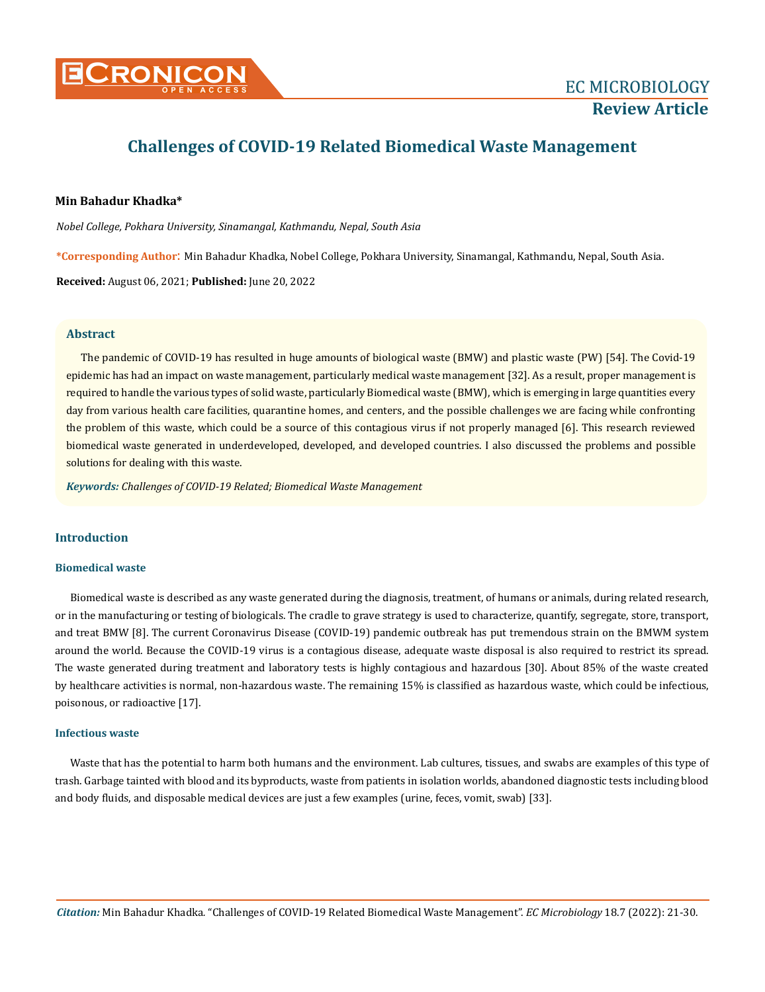

# **Challenges of COVID-19 Related Biomedical Waste Management**

# **Min Bahadur Khadka\***

*Nobel College, Pokhara University, Sinamangal, Kathmandu, Nepal, South Asia*

**\*Corresponding Author**: Min Bahadur Khadka, Nobel College, Pokhara University, Sinamangal, Kathmandu, Nepal, South Asia.

**Received:** August 06, 2021; **Published:** June 20, 2022

# **Abstract**

The pandemic of COVID-19 has resulted in huge amounts of biological waste (BMW) and plastic waste (PW) [54]. The Covid-19 epidemic has had an impact on waste management, particularly medical waste management [32]. As a result, proper management is required to handle the various types of solid waste, particularly Biomedical waste (BMW), which is emerging in large quantities every day from various health care facilities, quarantine homes, and centers, and the possible challenges we are facing while confronting the problem of this waste, which could be a source of this contagious virus if not properly managed [6]. This research reviewed biomedical waste generated in underdeveloped, developed, and developed countries. I also discussed the problems and possible solutions for dealing with this waste.

*Keywords: Challenges of COVID-19 Related; Biomedical Waste Management*

# **Introduction**

# **Biomedical waste**

Biomedical waste is described as any waste generated during the diagnosis, treatment, of humans or animals, during related research, or in the manufacturing or testing of biologicals. The cradle to grave strategy is used to characterize, quantify, segregate, store, transport, and treat BMW [8]. The current Coronavirus Disease (COVID-19) pandemic outbreak has put tremendous strain on the BMWM system around the world. Because the COVID-19 virus is a contagious disease, adequate waste disposal is also required to restrict its spread. The waste generated during treatment and laboratory tests is highly contagious and hazardous [30]. About 85% of the waste created by healthcare activities is normal, non-hazardous waste. The remaining 15% is classified as hazardous waste, which could be infectious, poisonous, or radioactive [17].

## **Infectious waste**

Waste that has the potential to harm both humans and the environment. Lab cultures, tissues, and swabs are examples of this type of trash. Garbage tainted with blood and its byproducts, waste from patients in isolation worlds, abandoned diagnostic tests including blood and body fluids, and disposable medical devices are just a few examples (urine, feces, vomit, swab) [33].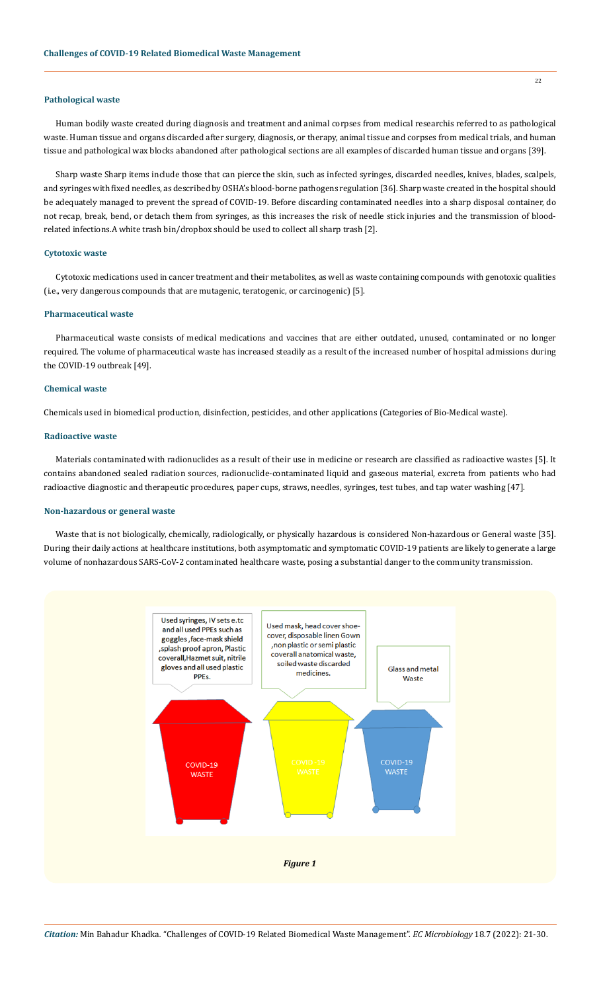# **Pathological waste**

Human bodily waste created during diagnosis and treatment and animal corpses from medical researchis referred to as pathological waste. Human tissue and organs discarded after surgery, diagnosis, or therapy, animal tissue and corpses from medical trials, and human tissue and pathological wax blocks abandoned after pathological sections are all examples of discarded human tissue and organs [39].

Sharp waste Sharp items include those that can pierce the skin, such as infected syringes, discarded needles, knives, blades, scalpels, and syringes with fixed needles, as described by OSHA's blood-borne pathogens regulation [36]. Sharp waste created in the hospital should be adequately managed to prevent the spread of COVID-19. Before discarding contaminated needles into a sharp disposal container, do not recap, break, bend, or detach them from syringes, as this increases the risk of needle stick injuries and the transmission of bloodrelated infections.A white trash bin/dropbox should be used to collect all sharp trash [2].

# **Cytotoxic waste**

Cytotoxic medications used in cancer treatment and their metabolites, as well as waste containing compounds with genotoxic qualities (i.e., very dangerous compounds that are mutagenic, teratogenic, or carcinogenic) [5].

# **Pharmaceutical waste**

Pharmaceutical waste consists of medical medications and vaccines that are either outdated, unused, contaminated or no longer required. The volume of pharmaceutical waste has increased steadily as a result of the increased number of hospital admissions during the COVID-19 outbreak [49].

# **Chemical waste**

Chemicals used in biomedical production, disinfection, pesticides, and other applications (Categories of Bio-Medical waste).

# **Radioactive waste**

Materials contaminated with radionuclides as a result of their use in medicine or research are classified as radioactive wastes [5]. It contains abandoned sealed radiation sources, radionuclide-contaminated liquid and gaseous material, excreta from patients who had radioactive diagnostic and therapeutic procedures, paper cups, straws, needles, syringes, test tubes, and tap water washing [47].

# **Non-hazardous or general waste**

Waste that is not biologically, chemically, radiologically, or physically hazardous is considered Non-hazardous or General waste [35]. During their daily actions at healthcare institutions, both asymptomatic and symptomatic COVID-19 patients are likely to generate a large volume of nonhazardous SARS-CoV-2 contaminated healthcare waste, posing a substantial danger to the community transmission.

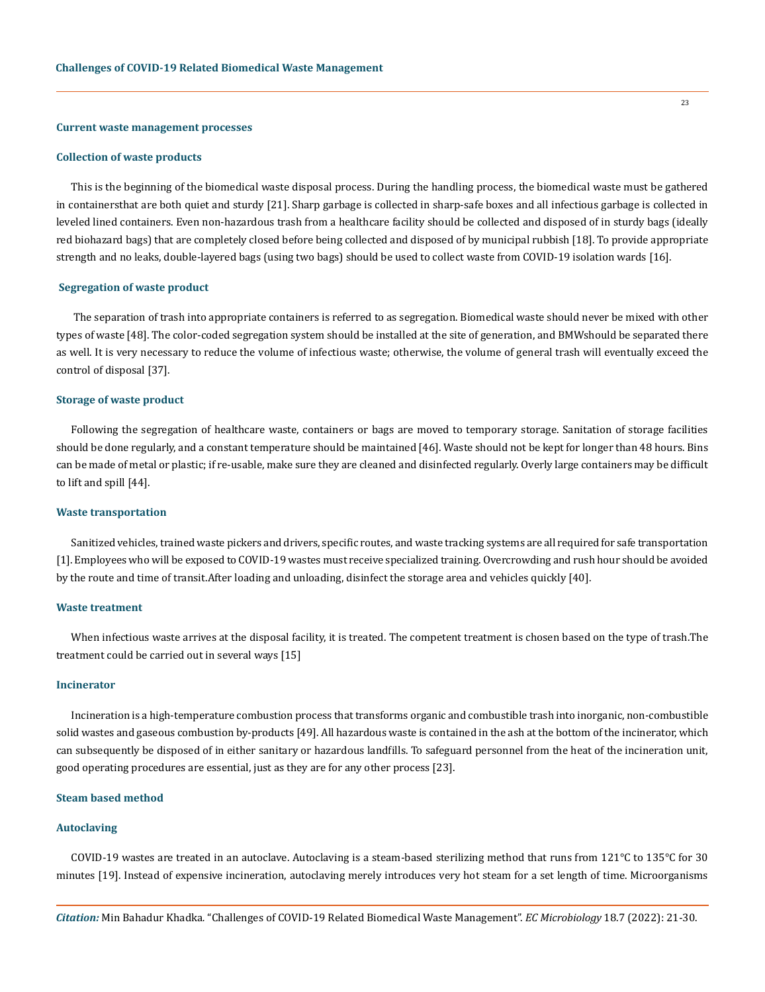#### **Current waste management processes**

#### **Collection of waste products**

This is the beginning of the biomedical waste disposal process. During the handling process, the biomedical waste must be gathered in containersthat are both quiet and sturdy [21]. Sharp garbage is collected in sharp-safe boxes and all infectious garbage is collected in leveled lined containers. Even non-hazardous trash from a healthcare facility should be collected and disposed of in sturdy bags (ideally red biohazard bags) that are completely closed before being collected and disposed of by municipal rubbish [18]. To provide appropriate strength and no leaks, double-layered bags (using two bags) should be used to collect waste from COVID-19 isolation wards [16].

#### **Segregation of waste product**

 The separation of trash into appropriate containers is referred to as segregation. Biomedical waste should never be mixed with other types of waste [48]. The color-coded segregation system should be installed at the site of generation, and BMWshould be separated there as well. It is very necessary to reduce the volume of infectious waste; otherwise, the volume of general trash will eventually exceed the control of disposal [37].

#### **Storage of waste product**

Following the segregation of healthcare waste, containers or bags are moved to temporary storage. Sanitation of storage facilities should be done regularly, and a constant temperature should be maintained [46]. Waste should not be kept for longer than 48 hours. Bins can be made of metal or plastic; if re-usable, make sure they are cleaned and disinfected regularly. Overly large containers may be difficult to lift and spill [44].

#### **Waste transportation**

Sanitized vehicles, trained waste pickers and drivers, specific routes, and waste tracking systems are all required for safe transportation [1]. Employees who will be exposed to COVID-19 wastes must receive specialized training. Overcrowding and rush hour should be avoided by the route and time of transit.After loading and unloading, disinfect the storage area and vehicles quickly [40].

#### **Waste treatment**

When infectious waste arrives at the disposal facility, it is treated. The competent treatment is chosen based on the type of trash.The treatment could be carried out in several ways [15]

#### **Incinerator**

Incineration is a high-temperature combustion process that transforms organic and combustible trash into inorganic, non-combustible solid wastes and gaseous combustion by-products [49]. All hazardous waste is contained in the ash at the bottom of the incinerator, which can subsequently be disposed of in either sanitary or hazardous landfills. To safeguard personnel from the heat of the incineration unit, good operating procedures are essential, just as they are for any other process [23].

# **Steam based method**

#### **Autoclaving**

COVID-19 wastes are treated in an autoclave. Autoclaving is a steam-based sterilizing method that runs from 121°C to 135°C for 30 minutes [19]. Instead of expensive incineration, autoclaving merely introduces very hot steam for a set length of time. Microorganisms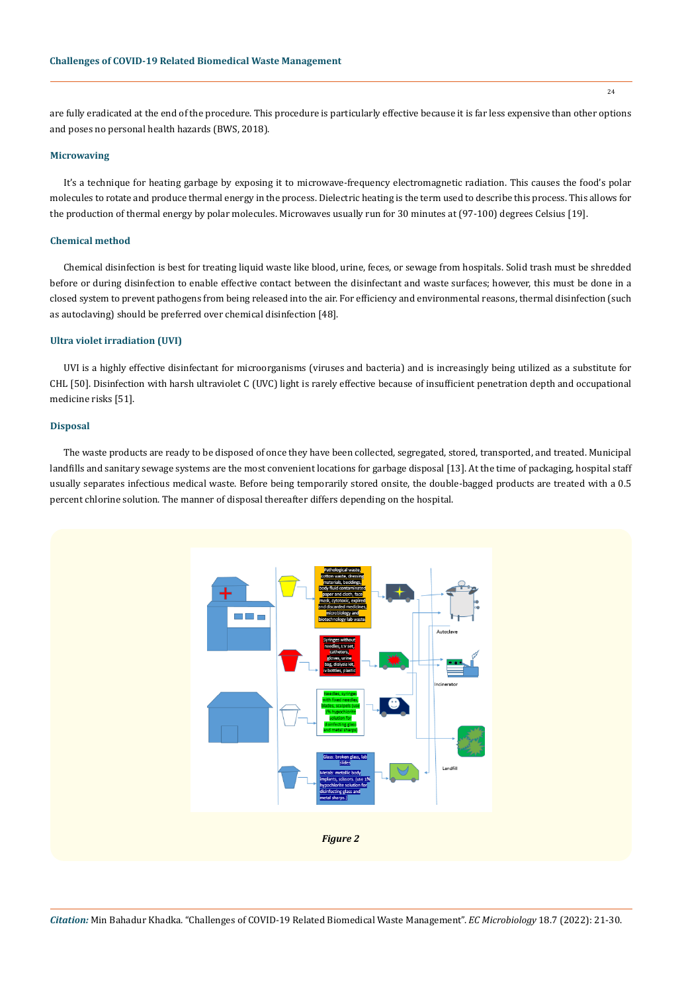are fully eradicated at the end of the procedure. This procedure is particularly effective because it is far less expensive than other options and poses no personal health hazards (BWS, 2018).

# **Microwaving**

It's a technique for heating garbage by exposing it to microwave-frequency electromagnetic radiation. This causes the food's polar molecules to rotate and produce thermal energy in the process. Dielectric heating is the term used to describe this process. This allows for the production of thermal energy by polar molecules. Microwaves usually run for 30 minutes at (97-100) degrees Celsius [19].

# **Chemical method**

Chemical disinfection is best for treating liquid waste like blood, urine, feces, or sewage from hospitals. Solid trash must be shredded before or during disinfection to enable effective contact between the disinfectant and waste surfaces; however, this must be done in a closed system to prevent pathogens from being released into the air. For efficiency and environmental reasons, thermal disinfection (such as autoclaving) should be preferred over chemical disinfection [48].

# **Ultra violet irradiation (UVI)**

UVI is a highly effective disinfectant for microorganisms (viruses and bacteria) and is increasingly being utilized as a substitute for CHL [50]. Disinfection with harsh ultraviolet C (UVC) light is rarely effective because of insufficient penetration depth and occupational medicine risks [51].

#### **Disposal**

The waste products are ready to be disposed of once they have been collected, segregated, stored, transported, and treated. Municipal landfills and sanitary sewage systems are the most convenient locations for garbage disposal [13]. At the time of packaging, hospital staff usually separates infectious medical waste. Before being temporarily stored onsite, the double-bagged products are treated with a 0.5 percent chlorine solution. The manner of disposal thereafter differs depending on the hospital.

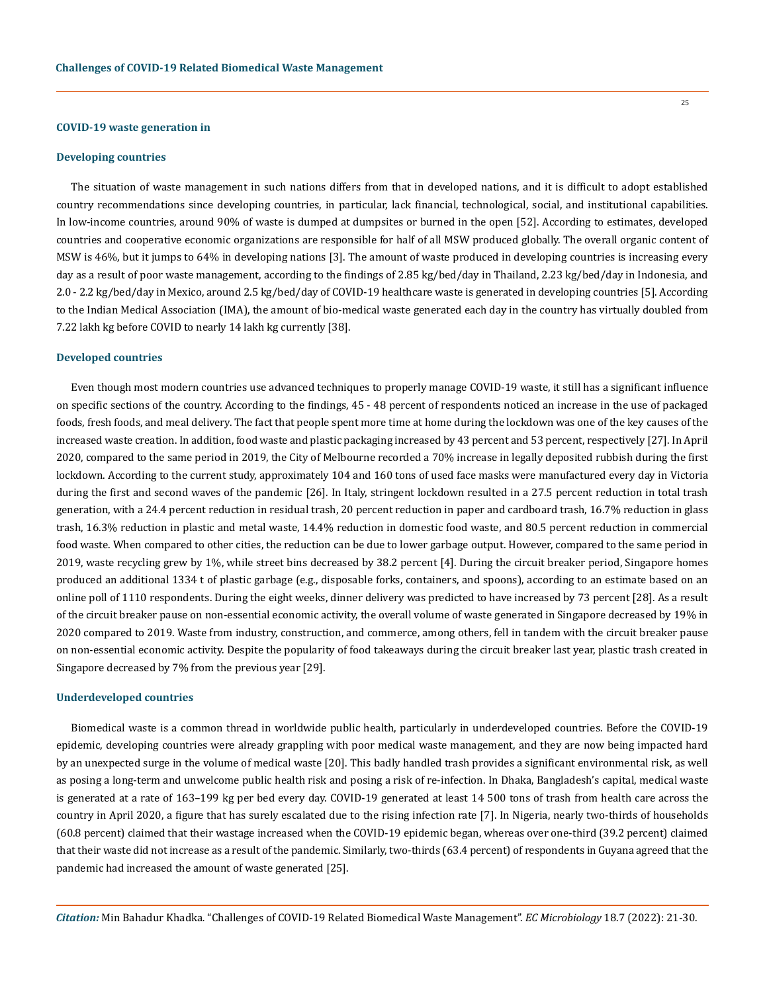#### **COVID-19 waste generation in**

#### **Developing countries**

The situation of waste management in such nations differs from that in developed nations, and it is difficult to adopt established country recommendations since developing countries, in particular, lack financial, technological, social, and institutional capabilities. In low-income countries, around 90% of waste is dumped at dumpsites or burned in the open [52]. According to estimates, developed countries and cooperative economic organizations are responsible for half of all MSW produced globally. The overall organic content of MSW is 46%, but it jumps to 64% in developing nations [3]. The amount of waste produced in developing countries is increasing every day as a result of poor waste management, according to the findings of 2.85 kg/bed/day in Thailand, 2.23 kg/bed/day in Indonesia, and 2.0 - 2.2 kg/bed/day in Mexico, around 2.5 kg/bed/day of COVID-19 healthcare waste is generated in developing countries [5]. According to the Indian Medical Association (IMA), the amount of bio-medical waste generated each day in the country has virtually doubled from 7.22 lakh kg before COVID to nearly 14 lakh kg currently [38].

## **Developed countries**

Even though most modern countries use advanced techniques to properly manage COVID-19 waste, it still has a significant influence on specific sections of the country. According to the findings, 45 - 48 percent of respondents noticed an increase in the use of packaged foods, fresh foods, and meal delivery. The fact that people spent more time at home during the lockdown was one of the key causes of the increased waste creation. In addition, food waste and plastic packaging increased by 43 percent and 53 percent, respectively [27]. In April 2020, compared to the same period in 2019, the City of Melbourne recorded a 70% increase in legally deposited rubbish during the first lockdown. According to the current study, approximately 104 and 160 tons of used face masks were manufactured every day in Victoria during the first and second waves of the pandemic [26]. In Italy, stringent lockdown resulted in a 27.5 percent reduction in total trash generation, with a 24.4 percent reduction in residual trash, 20 percent reduction in paper and cardboard trash, 16.7% reduction in glass trash, 16.3% reduction in plastic and metal waste, 14.4% reduction in domestic food waste, and 80.5 percent reduction in commercial food waste. When compared to other cities, the reduction can be due to lower garbage output. However, compared to the same period in 2019, waste recycling grew by 1%, while street bins decreased by 38.2 percent [4]. During the circuit breaker period, Singapore homes produced an additional 1334 t of plastic garbage (e.g., disposable forks, containers, and spoons), according to an estimate based on an online poll of 1110 respondents. During the eight weeks, dinner delivery was predicted to have increased by 73 percent [28]. As a result of the circuit breaker pause on non-essential economic activity, the overall volume of waste generated in Singapore decreased by 19% in 2020 compared to 2019. Waste from industry, construction, and commerce, among others, fell in tandem with the circuit breaker pause on non-essential economic activity. Despite the popularity of food takeaways during the circuit breaker last year, plastic trash created in Singapore decreased by 7% from the previous year [29].

#### **Underdeveloped countries**

Biomedical waste is a common thread in worldwide public health, particularly in underdeveloped countries. Before the COVID-19 epidemic, developing countries were already grappling with poor medical waste management, and they are now being impacted hard by an unexpected surge in the volume of medical waste [20]. This badly handled trash provides a significant environmental risk, as well as posing a long-term and unwelcome public health risk and posing a risk of re-infection. In Dhaka, Bangladesh's capital, medical waste is generated at a rate of 163–199 kg per bed every day. COVID-19 generated at least 14 500 tons of trash from health care across the country in April 2020, a figure that has surely escalated due to the rising infection rate [7]. In Nigeria, nearly two-thirds of households (60.8 percent) claimed that their wastage increased when the COVID-19 epidemic began, whereas over one-third (39.2 percent) claimed that their waste did not increase as a result of the pandemic. Similarly, two-thirds (63.4 percent) of respondents in Guyana agreed that the pandemic had increased the amount of waste generated [25].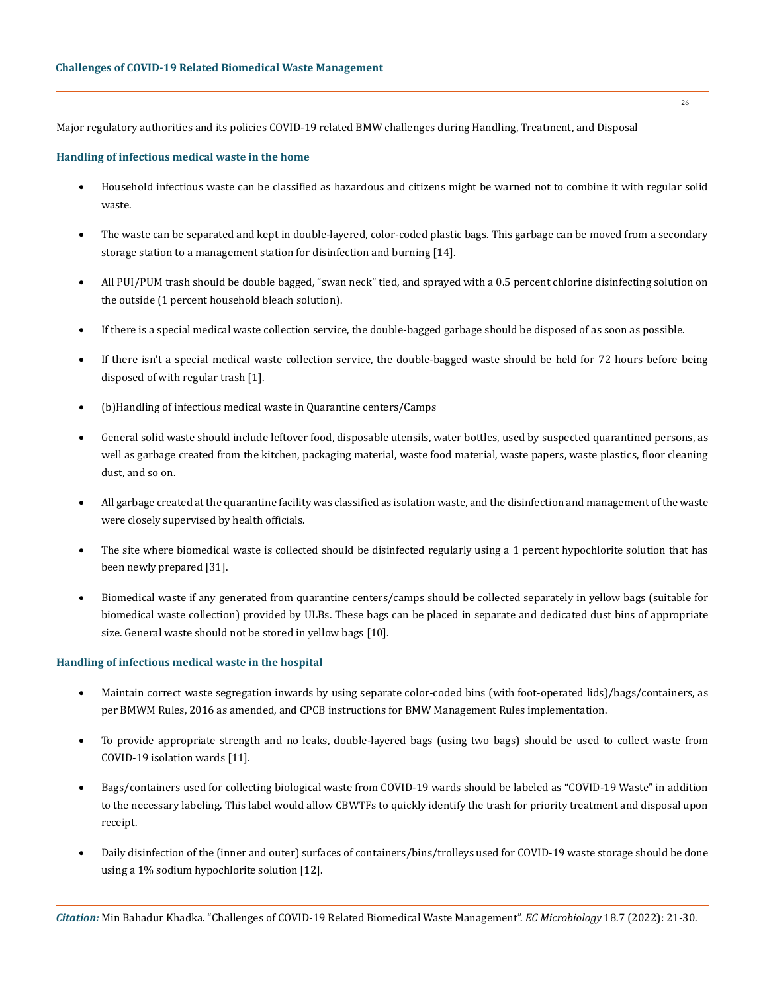Major regulatory authorities and its policies COVID-19 related BMW challenges during Handling, Treatment, and Disposal

# **Handling of infectious medical waste in the home**

- Household infectious waste can be classified as hazardous and citizens might be warned not to combine it with regular solid waste.
- The waste can be separated and kept in double-layered, color-coded plastic bags. This garbage can be moved from a secondary storage station to a management station for disinfection and burning [14].
- All PUI/PUM trash should be double bagged, "swan neck" tied, and sprayed with a 0.5 percent chlorine disinfecting solution on the outside (1 percent household bleach solution).
- If there is a special medical waste collection service, the double-bagged garbage should be disposed of as soon as possible.
- If there isn't a special medical waste collection service, the double-bagged waste should be held for 72 hours before being disposed of with regular trash [1].
- (b) Handling of infectious medical waste in Quarantine centers/Camps
- General solid waste should include leftover food, disposable utensils, water bottles, used by suspected quarantined persons, as well as garbage created from the kitchen, packaging material, waste food material, waste papers, waste plastics, floor cleaning dust, and so on.
- All garbage created at the quarantine facility was classified as isolation waste, and the disinfection and management of the waste were closely supervised by health officials.
- The site where biomedical waste is collected should be disinfected regularly using a 1 percent hypochlorite solution that has been newly prepared [31].
- Biomedical waste if any generated from quarantine centers/camps should be collected separately in yellow bags (suitable for biomedical waste collection) provided by ULBs. These bags can be placed in separate and dedicated dust bins of appropriate size. General waste should not be stored in yellow bags [10].

## **Handling of infectious medical waste in the hospital**

- Maintain correct waste segregation inwards by using separate color-coded bins (with foot-operated lids)/bags/containers, as per BMWM Rules, 2016 as amended, and CPCB instructions for BMW Management Rules implementation.
- To provide appropriate strength and no leaks, double-layered bags (using two bags) should be used to collect waste from COVID-19 isolation wards [11].
- • Bags/containers used for collecting biological waste from COVID-19 wards should be labeled as "COVID-19 Waste" in addition to the necessary labeling. This label would allow CBWTFs to quickly identify the trash for priority treatment and disposal upon receipt.
- Daily disinfection of the (inner and outer) surfaces of containers/bins/trolleys used for COVID-19 waste storage should be done using a 1% sodium hypochlorite solution [12].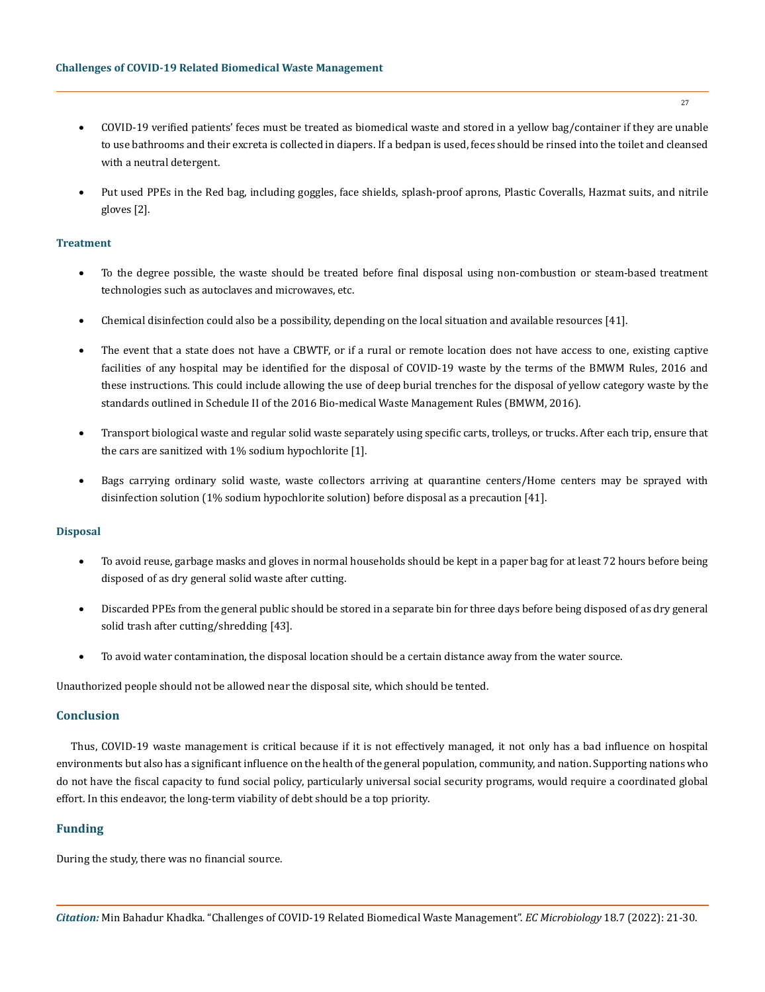- COVID-19 verified patients' feces must be treated as biomedical waste and stored in a yellow bag/container if they are unable to use bathrooms and their excreta is collected in diapers. If a bedpan is used, feces should be rinsed into the toilet and cleansed with a neutral detergent.
- • Put used PPEs in the Red bag, including goggles, face shields, splash-proof aprons, Plastic Coveralls, Hazmat suits, and nitrile gloves [2].

## **Treatment**

- To the degree possible, the waste should be treated before final disposal using non-combustion or steam-based treatment technologies such as autoclaves and microwaves, etc.
- Chemical disinfection could also be a possibility, depending on the local situation and available resources [41].
- The event that a state does not have a CBWTF, or if a rural or remote location does not have access to one, existing captive facilities of any hospital may be identified for the disposal of COVID-19 waste by the terms of the BMWM Rules, 2016 and these instructions. This could include allowing the use of deep burial trenches for the disposal of yellow category waste by the standards outlined in Schedule II of the 2016 Bio-medical Waste Management Rules (BMWM, 2016).
- Transport biological waste and regular solid waste separately using specific carts, trolleys, or trucks. After each trip, ensure that the cars are sanitized with 1% sodium hypochlorite [1].
- Bags carrying ordinary solid waste, waste collectors arriving at quarantine centers/Home centers may be sprayed with disinfection solution (1% sodium hypochlorite solution) before disposal as a precaution [41].

## **Disposal**

- To avoid reuse, garbage masks and gloves in normal households should be kept in a paper bag for at least 72 hours before being disposed of as dry general solid waste after cutting.
- Discarded PPEs from the general public should be stored in a separate bin for three days before being disposed of as dry general solid trash after cutting/shredding [43].
- To avoid water contamination, the disposal location should be a certain distance away from the water source.

Unauthorized people should not be allowed near the disposal site, which should be tented.

# **Conclusion**

Thus, COVID-19 waste management is critical because if it is not effectively managed, it not only has a bad influence on hospital environments but also has a significant influence on the health of the general population, community, and nation. Supporting nations who do not have the fiscal capacity to fund social policy, particularly universal social security programs, would require a coordinated global effort. In this endeavor, the long-term viability of debt should be a top priority.

# **Funding**

During the study, there was no financial source.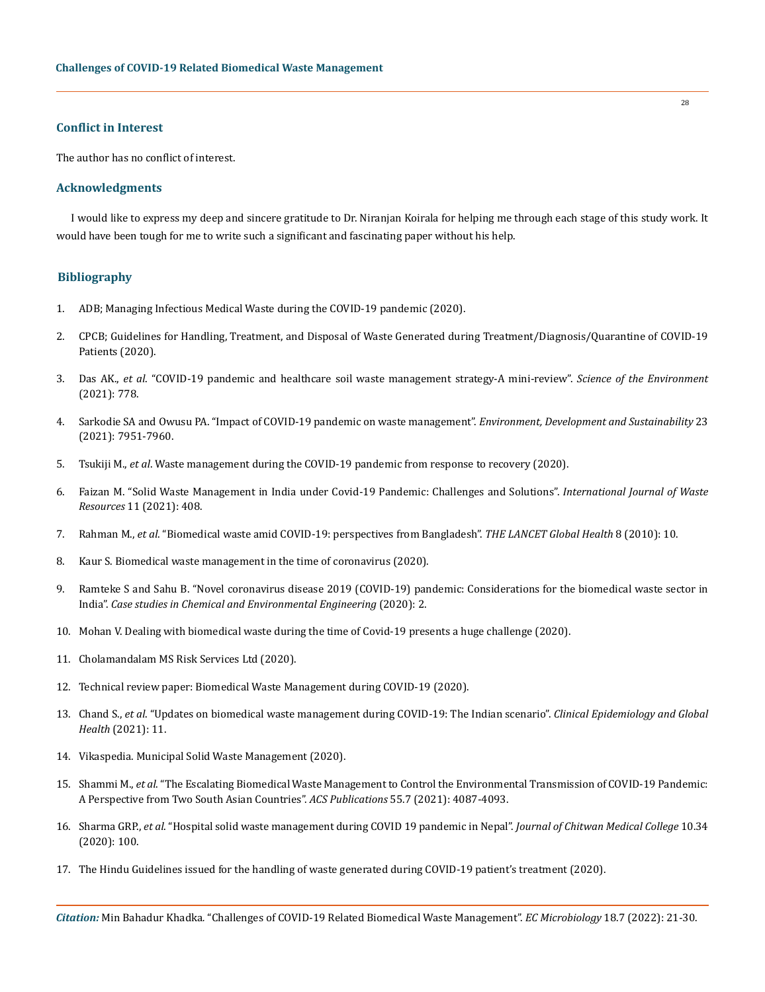# **Conflict in Interest**

The author has no conflict of interest.

# **Acknowledgments**

I would like to express my deep and sincere gratitude to Dr. Niranjan Koirala for helping me through each stage of this study work. It would have been tough for me to write such a significant and fascinating paper without his help.

# **Bibliography**

- 1. [ADB; Managing Infectious Medical Waste during the COVID-19 pandemic \(2020\).](https://www.adb.org/publications/managing-medical-waste-covid19)
- 2. [CPCB; Guidelines for Handling, Treatment, and Disposal of Waste Generated during Treatment/Diagnosis/Quarantine of COVID-19](https://cpcb.nic.in/uploads/Projects/Bio-Medical-Waste/BMW-GUIDELINES-COVID_2.pdf)  [Patients \(2020\).](https://cpcb.nic.in/uploads/Projects/Bio-Medical-Waste/BMW-GUIDELINES-COVID_2.pdf)
- 3. Das AK., *et al*[. "COVID-19 pandemic and healthcare soil waste management strategy-A mini-review".](https://www.sciencedirect.com/science/article/pii/S0048969721012882) *Science of the Environment* [\(2021\): 778.](https://www.sciencedirect.com/science/article/pii/S0048969721012882)
- 4. [Sarkodie SA and Owusu PA. "Impact of COVID-19 pandemic on waste management".](https://www.ncbi.nlm.nih.gov/pmc/articles/PMC7447614/) *Environment, Development and Sustainability* 23 [\(2021\): 7951-7960.](https://www.ncbi.nlm.nih.gov/pmc/articles/PMC7447614/)
- 5. Tsukiji M., *et al*[. Waste management during the COVID-19 pandemic from response to recovery \(2020\).](https://www.unep.org/ietc/resources/report/waste-management-during-covid-19-pandemic-response-recovery)
- 6. [Faizan M. "Solid Waste Management in India under Covid-19 Pandemic: Challenges and Solutions".](https://www.researchgate.net/publication/342200632_Solid_Waste_Management_in_India_Under_COVID19_Pandemic_Challenges_and_Solutions) *International Journal of Waste Resources* [11 \(2021\): 408.](https://www.researchgate.net/publication/342200632_Solid_Waste_Management_in_India_Under_COVID19_Pandemic_Challenges_and_Solutions)
- 7. Rahman M., *et al*[. "Biomedical waste amid COVID-19: perspectives from Bangladesh".](https://www.thelancet.com/journals/langlo/article/PIIS2214-109X(20)30349-1/fulltext) *THE LANCET Global Health* 8 (2010): 10.
- 8. Kaur S. Biomedical waste management in the time of coronavirus (2020).
- 9. [Ramteke S and Sahu B. "Novel coronavirus disease 2019 \(COVID-19\) pandemic: Considerations for the biomedical waste sector in](https://www.sciencedirect.com/science/article/pii/S266601642030027X)  India". *[Case studies in Chemical and Environmental Engineering](https://www.sciencedirect.com/science/article/pii/S266601642030027X)* (2020): 2.
- 10. [Mohan V. Dealing with biomedical waste during the time of Covid-19 presents a huge challenge \(2020\).](https://timesofindia.indiatimes.com/india/dealing-with-biomedical-waste-in-the-time-of-covid-19-presents-huge-challenge/articleshow/75905790.cms)
- 11. Cholamandalam MS Risk Services Ltd (2020).
- 12. Technical review paper: Biomedical Waste Management during COVID-19 (2020).
- 13. Chand S., *et al*[. "Updates on biomedical waste management during COVID-19: The Indian scenario".](https://www.sciencedirect.com/science/article/pii/S2213398421000191) *Clinical Epidemiology and Global Health* [\(2021\): 11.](https://www.sciencedirect.com/science/article/pii/S2213398421000191)
- 14. [Vikaspedia. Municipal Solid Waste Management \(2020\).](https://vikaspedia.in/energy/environment/waste-management/municipal-solid-waste-management)
- 15. Shammi M., *et al*[. "The Escalating Biomedical Waste Management to Control the Environmental Transmission of COVID-19 Pandemic:](https://pubmed.ncbi.nlm.nih.gov/33434001/)  [A Perspective from Two South Asian Countries".](https://pubmed.ncbi.nlm.nih.gov/33434001/) *ACS Publications* 55.7 (2021): 4087-4093.
- 16. Sharma GRP., *et al*[. "Hospital solid waste management during COVID 19 pandemic in Nepal".](https://www.nepjol.info/index.php/JCMC/article/view/33456) *Journal of Chitwan Medical College* 10.34 [\(2020\): 100.](https://www.nepjol.info/index.php/JCMC/article/view/33456)
- 17. [The Hindu Guidelines issued for the handling of waste generated during COVID-19 patient's treatment \(2020\).](https://www.thehindu.com/news/national/guidelines-issued-for-handling-of-waste-generated-during-covid-19-patients-treatment/article31393724.ece)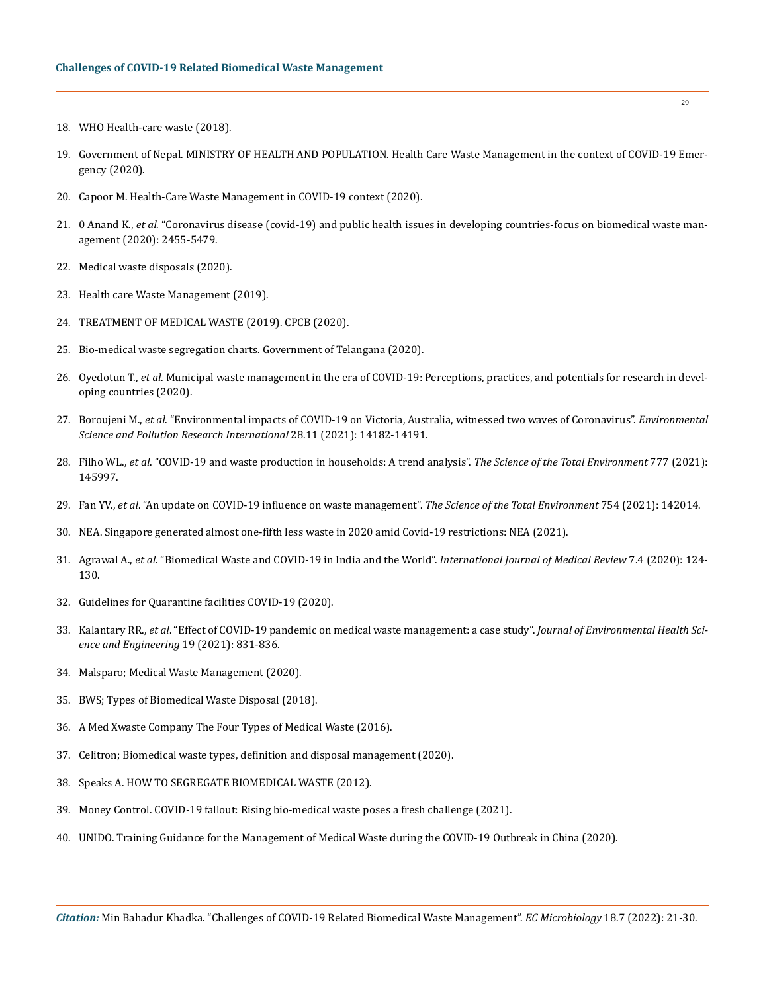- 18. [WHO Health-care waste \(2018\).](https://www.who.int/news-room/fact-sheets/detail/health-care-waste)
- 19. [Government of Nepal. MINISTRY OF HEALTH AND POPULATION. Health Care Waste Management in the context of COVID-19 Emer](https://dwssm.gov.np/wp-content/uploads/2020/07/HCWM_COVID-19-Guidelines_En.pdf)[gency \(2020\).](https://dwssm.gov.np/wp-content/uploads/2020/07/HCWM_COVID-19-Guidelines_En.pdf)
- 20. Capoor M. Health-Care Waste Management in COVID-19 context (2020).
- 21. 0 Anand K., *et al*[. "Coronavirus disease \(covid-19\) and public health issues in developing countries-focus on biomedical waste man](https://www.peertechzpublications.com/articles/ACMPH-6-214.php)[agement \(2020\): 2455-5479.](https://www.peertechzpublications.com/articles/ACMPH-6-214.php)
- 22. Medical waste disposals (2020).
- 23. Health care Waste Management (2019).
- 24. TREATMENT OF MEDICAL WASTE (2019). CPCB (2020).
- 25. [Bio-medical waste segregation charts. Government of Telangana \(2020\).](https://covid19.telangana.gov.in/2020/03/21/bio-medical-waste-segregation-chart/)
- 26. Oyedotun T., *et al*[. Municipal waste management in the era of COVID-19: Perceptions, practices, and potentials for research in devel](https://www.sciencedirect.com/science/article/pii/S2590051X20300228)[oping countries \(2020\).](https://www.sciencedirect.com/science/article/pii/S2590051X20300228)
- 27. Boroujeni M., *et al*[. "Environmental impacts of COVID-19 on Victoria, Australia, witnessed two waves of Coronavirus".](https://www.ncbi.nlm.nih.gov/pmc/articles/PMC7840392/) *Environmental [Science and Pollution Research International](https://www.ncbi.nlm.nih.gov/pmc/articles/PMC7840392/)* 28.11 (2021): 14182-14191.
- 28. Filho WL., *et al*[. "COVID-19 and waste production in households: A trend analysis".](https://www.sciencedirect.com/science/article/pii/S0048969721010640) *The Science of the Total Environment* 777 (2021): [145997.](https://www.sciencedirect.com/science/article/pii/S0048969721010640)
- 29. Fan YV., *et al*[. "An update on COVID-19 influence on waste management".](https://www.researchgate.net/publication/343902116_An_update_of_COVID-19_influence_on_waste_management) *The Science of the Total Environment* 754 (2021): 142014.
- 30. [NEA. Singapore generated almost one-fifth less waste in 2020 amid Covid-19 restrictions: NEA \(2021\).](https://www.todayonline.com/singapore/sporeans-generated-almost-one-fifth-less-waste-2020-amid-covid-19-restrictions-nea)
- 31. Agrawal A., *et al*[. "Biomedical Waste and COVID-19 in India and the World".](http://www.ijmedrev.com/article_120913.html) *International Journal of Medical Review* 7.4 (2020): 124- [130.](http://www.ijmedrev.com/article_120913.html)
- 32. [Guidelines for Quarantine facilities COVID-19 \(2020\).](https://www.mohfw.gov.in/pdf/90542653311584546120quartineguidelines.pdf)
- 33. Kalantary RR., *et al*[. "Effect of COVID-19 pandemic on medical waste management: a case study".](https://pubmed.ncbi.nlm.nih.gov/33758671/) *Journal of Environmental Health Sci[ence and Engineering](https://pubmed.ncbi.nlm.nih.gov/33758671/)* 19 (2021): 831-836.
- 34. [Malsparo; Medical Waste Management \(2020\).](https://www.malsparo.com/)
- 35. [BWS; Types of Biomedical Waste Disposal \(2018\).](https://bwaste.com/resources/the-knowledge-center/articles-insights-and-updates/types-biomedical-waste-disposal)
- 36. A Med Xwaste Company The Four Types of Medical Waste (2016).
- 37. Celitron; Biomedical waste types, definition and disposal management (2020).
- 38. Speaks A. HOW TO SEGREGATE BIOMEDICAL WASTE (2012).
- 39. [Money Control. COVID-19 fallout: Rising bio-medical waste poses a fresh challenge \(2021\).](https://www.moneycontrol.com/news/business/covid-19-india-faces-fresh-challenge-of-rising-bio-medical-wastes-6880571.html)
- 40. [UNIDO. Training Guidance for the Management of Medical Waste during the COVID-19 Outbreak in China \(2020\).](https://www.unido.org/sites/default/files/files/2020-11/Training_Guidance_Management_of_Covid19_Medical_Waste.pdf)